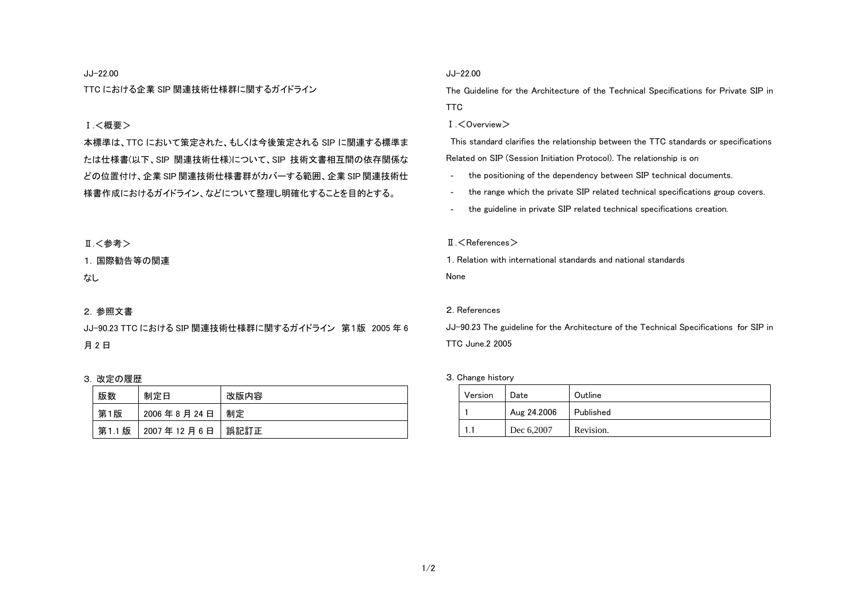#### JJ-22.00

TTC における企業 SIP 関連技術仕様群に関するガイドライン

# Ⅰ.<概要>

本標準は、TTC において策定された、もしくは今後策定される SIP に関連する標準ま たは仕様書(以下、SIP 関連技術仕様)について、SIP 技術文書相互間の依存関係な どの位置付け、企業 SIP 関連技術仕様書群がカバーする範囲、企業 SIP 関連技術仕 様書作成におけるガイドライン、などについて整理し明確化することを目的とする。

# Ⅱ. < 参考 >

#### 1. 国際勧告等の関連

なし

### 2. 参照文書

JJ-90.23 TTC における SIP 関連技術仕様群に関するガイドライン 第1版 2005 年 6 月 2 日

### 3. 改定の履歴

| 版数     | 制定日        | 改版内容 |
|--------|------------|------|
| 第1版    | 2006年8月24日 | 制定   |
| 第1.1 版 | 2007年12月6日 | 誤記訂正 |

### JJ-22.00

The Guideline for the Architecture of the Technical Specifications for Private SIP in TTC

Ⅰ.<Overview>

 This standard clarifies the relationship between the TTC standards or specifications Related on SIP (Session Initiation Protocol). The relationship is on

- the positioning of the dependency between SIP technical documents.
- the range which the private SIP related technical specifications group covers.
- the guideline in private SIP related technical specifications creation.

#### $\P$   $\leq$  References  $>$

1. Relation with international standards and national standards

None

#### 2. References

JJ-90.23 The guideline for the Architecture of the Technical Specifications for SIP in TTC June.2 2005

#### 3. Change history

| Version | Date        | Outline   |
|---------|-------------|-----------|
|         | Aug 24.2006 | Published |
|         | Dec 6,2007  | Revision. |